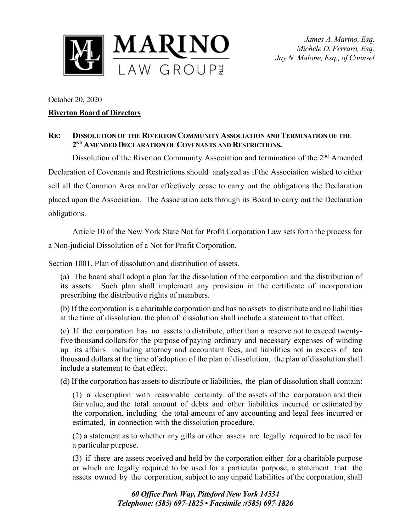

*James A. Marino, Esq. Michele D. Ferrara, Esq. Jay N. Malone, Esq., of Counsel*

## October 20, 2020 **Riverton Board of Directors**

## **RE: DISSOLUTION OF THE RIVERTON COMMUNITY ASSOCIATION AND TERMINATION OF THE 2ND AMENDED DECLARATION OF COVENANTS AND RESTRICTIONS.**

Dissolution of the Riverton Community Association and termination of the 2<sup>nd</sup> Amended Declaration of Covenants and Restrictions should analyzed as if the Association wished to either sell all the Common Area and/or effectively cease to carry out the obligations the Declaration placed upon the Association. The Association acts through its Board to carry out the Declaration obligations.

Article 10 of the New York State Not for Profit Corporation Law sets forth the process for a Non-judicial Dissolution of a Not for Profit Corporation.

Section 1001. Plan of dissolution and distribution of assets.

(a) The board shall adopt a plan for the dissolution of the corporation and the distribution of its assets. Such plan shall implement any provision in the certificate of incorporation prescribing the distributive rights of members.

(b) If the corporation is a charitable corporation and has no assets to distribute and no liabilities at the time of dissolution, the plan of dissolution shall include a statement to that effect.

(c) If the corporation has no assets to distribute, other than a reserve not to exceed twentyfive thousand dollars for the purpose of paying ordinary and necessary expenses of winding up its affairs including attorney and accountant fees, and liabilities not in excess of ten thousand dollars at the time of adoption of the plan of dissolution, the plan of dissolution shall include a statement to that effect.

(d) If the corporation has assets to distribute or liabilities, the plan of dissolution shall contain:

(1) a description with reasonable certainty of the assets of the corporation and their fair value, and the total amount of debts and other liabilities incurred or estimated by the corporation, including the total amount of any accounting and legal fees incurred or estimated, in connection with the dissolution procedure.

(2) a statement as to whether any gifts or other assets are legally required to be used for a particular purpose.

(3) if there are assets received and held by the corporation either for a charitable purpose or which are legally required to be used for a particular purpose, a statement that the assets owned by the corporation, subject to any unpaid liabilities of the corporation, shall

> *60 Office Park Way, Pittsford New York 14534 Telephone: (585) 697-1825 • Facsimile :(585) 697-1826*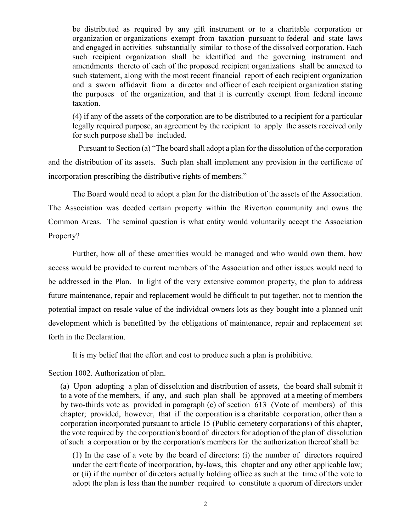be distributed as required by any gift instrument or to a charitable corporation or organization or organizations exempt from taxation pursuant to federal and state laws and engaged in activities substantially similar to those of the dissolved corporation. Each such recipient organization shall be identified and the governing instrument and amendments thereto of each of the proposed recipient organizations shall be annexed to such statement, along with the most recent financial report of each recipient organization and a sworn affidavit from a director and officer of each recipient organization stating the purposes of the organization, and that it is currently exempt from federal income taxation.

(4) if any of the assets of the corporation are to be distributed to a recipient for a particular legally required purpose, an agreement by the recipient to apply the assets received only for such purpose shall be included.

Pursuant to Section (a) "The board shall adopt a plan for the dissolution of the corporation and the distribution of its assets. Such plan shall implement any provision in the certificate of incorporation prescribing the distributive rights of members."

The Board would need to adopt a plan for the distribution of the assets of the Association. The Association was deeded certain property within the Riverton community and owns the Common Areas. The seminal question is what entity would voluntarily accept the Association Property?

Further, how all of these amenities would be managed and who would own them, how access would be provided to current members of the Association and other issues would need to be addressed in the Plan. In light of the very extensive common property, the plan to address future maintenance, repair and replacement would be difficult to put together, not to mention the potential impact on resale value of the individual owners lots as they bought into a planned unit development which is benefitted by the obligations of maintenance, repair and replacement set forth in the Declaration.

It is my belief that the effort and cost to produce such a plan is prohibitive.

Section 1002. Authorization of plan.

(a) Upon adopting a plan of dissolution and distribution of assets, the board shall submit it to a vote of the members, if any, and such plan shall be approved at a meeting of members by two-thirds vote as provided in paragraph (c) of section 613 (Vote of members) of this chapter; provided, however, that if the corporation is a charitable corporation, other than a corporation incorporated pursuant to article 15 (Public cemetery corporations) of this chapter, the vote required by the corporation's board of directors for adoption of the plan of dissolution of such a corporation or by the corporation's members for the authorization thereof shall be:

(1) In the case of a vote by the board of directors: (i) the number of directors required under the certificate of incorporation, by-laws, this chapter and any other applicable law; or (ii) if the number of directors actually holding office as such at the time of the vote to adopt the plan is less than the number required to constitute a quorum of directors under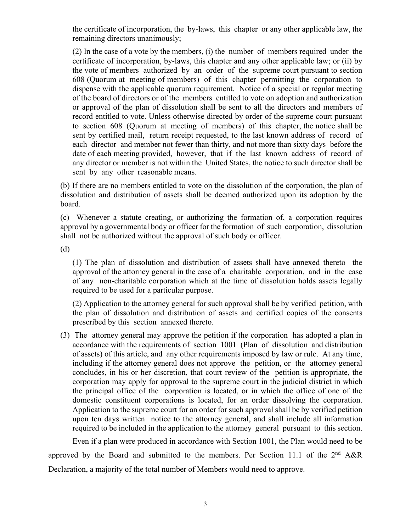the certificate of incorporation, the by-laws, this chapter or any other applicable law, the remaining directors unanimously;

(2) In the case of a vote by the members, (i) the number of members required under the certificate of incorporation, by-laws, this chapter and any other applicable law; or (ii) by the vote of members authorized by an order of the supreme court pursuant to section 608 (Quorum at meeting of members) of this chapter permitting the corporation to dispense with the applicable quorum requirement. Notice of a special or regular meeting of the board of directors or of the members entitled to vote on adoption and authorization or approval of the plan of dissolution shall be sent to all the directors and members of record entitled to vote. Unless otherwise directed by order of the supreme court pursuant to section 608 (Quorum at meeting of members) of this chapter, the notice shall be sent by certified mail, return receipt requested, to the last known address of record of each director and member not fewer than thirty, and not more than sixty days before the date of each meeting provided, however, that if the last known address of record of any director or member is not within the United States, the notice to such director shall be sent by any other reasonable means.

(b) If there are no members entitled to vote on the dissolution of the corporation, the plan of dissolution and distribution of assets shall be deemed authorized upon its adoption by the board.

(c) Whenever a statute creating, or authorizing the formation of, a corporation requires approval by a governmental body or officer for the formation of such corporation, dissolution shall not be authorized without the approval of such body or officer.

(d)

(1) The plan of dissolution and distribution of assets shall have annexed thereto the approval of the attorney general in the case of a charitable corporation, and in the case of any non-charitable corporation which at the time of dissolution holds assets legally required to be used for a particular purpose.

(2) Application to the attorney general for such approval shall be by verified petition, with the plan of dissolution and distribution of assets and certified copies of the consents prescribed by this section annexed thereto.

(3) The attorney general may approve the petition if the corporation has adopted a plan in accordance with the requirements of section 1001 (Plan of dissolution and distribution of assets) of this article, and any other requirements imposed by law or rule. At any time, including if the attorney general does not approve the petition, or the attorney general concludes, in his or her discretion, that court review of the petition is appropriate, the corporation may apply for approval to the supreme court in the judicial district in which the principal office of the corporation is located, or in which the office of one of the domestic constituent corporations is located, for an order dissolving the corporation. Application to the supreme court for an order for such approval shall be by verified petition upon ten days written notice to the attorney general, and shall include all information required to be included in the application to the attorney general pursuant to this section.

Even if a plan were produced in accordance with Section 1001, the Plan would need to be approved by the Board and submitted to the members. Per Section 11.1 of the  $2<sup>nd</sup> A&R$ Declaration, a majority of the total number of Members would need to approve.